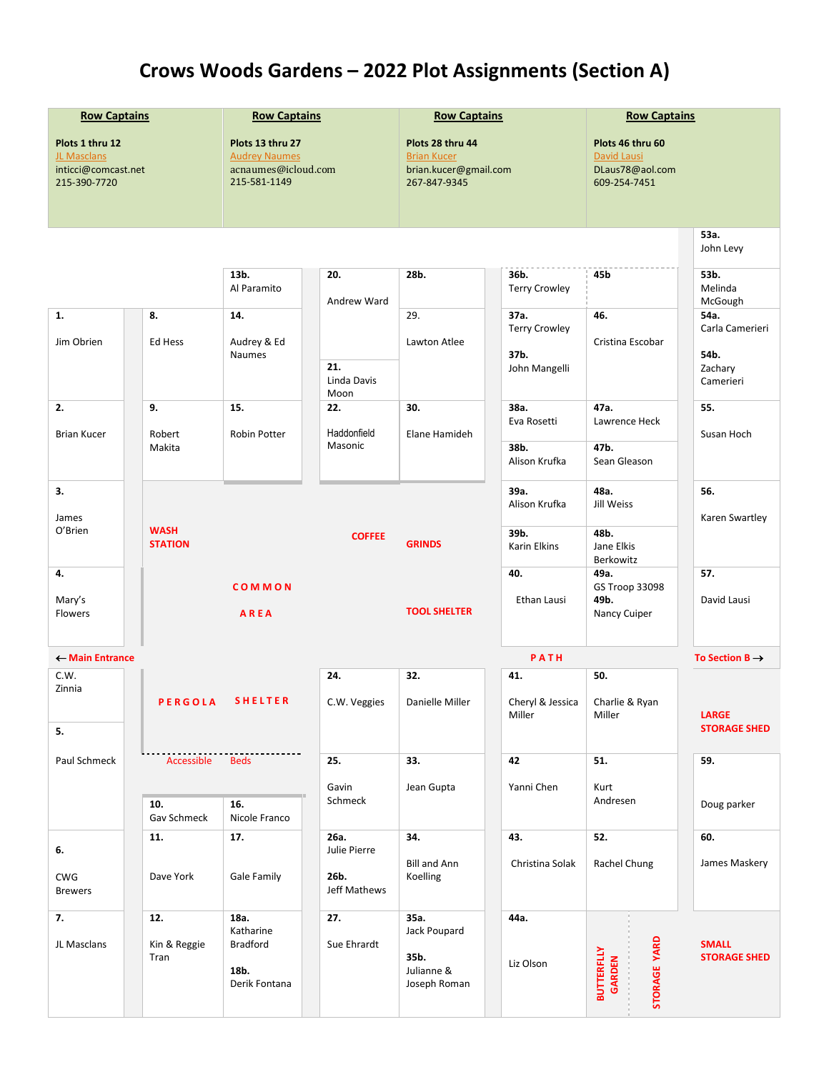## **Crows Woods Gardens – 2022 Plot Assignments (Section A)**

| <b>Row Captains</b>                                                   |                               | <b>Row Captains</b>                                                             |                            | <b>Row Captains</b>                                                             |                                                       | <b>Row Captains</b>                                                |                                     |  |
|-----------------------------------------------------------------------|-------------------------------|---------------------------------------------------------------------------------|----------------------------|---------------------------------------------------------------------------------|-------------------------------------------------------|--------------------------------------------------------------------|-------------------------------------|--|
| Plots 1 thru 12<br>JL Masclans<br>inticci@comcast.net<br>215-390-7720 |                               | Plots 13 thru 27<br><b>Audrey Naumes</b><br>acnaumes@icloud.com<br>215-581-1149 |                            | Plots 28 thru 44<br><b>Brian Kucer</b><br>brian.kucer@gmail.com<br>267-847-9345 |                                                       | Plots 46 thru 60<br>David Lausi<br>DLaus78@aol.com<br>609-254-7451 |                                     |  |
|                                                                       |                               |                                                                                 |                            |                                                                                 |                                                       |                                                                    | 53a.<br>John Levy                   |  |
|                                                                       |                               | 13b.<br>Al Paramito                                                             | 20.<br>Andrew Ward         | 28b.                                                                            | 36b.<br><b>Terry Crowley</b>                          | 45b                                                                | 53b.<br>Melinda<br>McGough          |  |
| 1.<br>Jim Obrien                                                      | 8.<br>Ed Hess                 | 14.<br>Audrey & Ed<br><b>Naumes</b>                                             |                            | 29.<br>Lawton Atlee                                                             | 37a.<br><b>Terry Crowley</b><br>37b.<br>John Mangelli | 46.<br>Cristina Escobar                                            | 54a.<br>Carla Camerieri<br>54b.     |  |
|                                                                       |                               |                                                                                 | 21.<br>Linda Davis<br>Moon |                                                                                 |                                                       |                                                                    | Zachary<br>Camerieri                |  |
| 2.<br><b>Brian Kucer</b>                                              | 9.<br>Robert                  | 15.<br>Robin Potter                                                             | 22.<br>Haddonfield         | 30.<br>Elane Hamideh                                                            | 38a.<br>Eva Rosetti                                   | 47a.<br>Lawrence Heck                                              | 55.<br>Susan Hoch                   |  |
|                                                                       | Makita                        |                                                                                 | Masonic                    |                                                                                 | 38b.<br>Alison Krufka                                 | 47b.<br>Sean Gleason                                               |                                     |  |
| 3.<br>James                                                           |                               |                                                                                 |                            |                                                                                 | 39a.<br>Alison Krufka                                 | 48a.<br>Jill Weiss                                                 | 56.<br>Karen Swartley               |  |
| O'Brien                                                               | <b>WASH</b><br><b>STATION</b> |                                                                                 | <b>COFFEE</b>              | <b>GRINDS</b>                                                                   | 39b.<br><b>Karin Elkins</b>                           | 48b.<br>Jane Elkis<br>Berkowitz                                    |                                     |  |
| 4.<br>Mary's<br><b>Flowers</b>                                        |                               | COMMON<br>AREA                                                                  |                            | <b>TOOL SHELTER</b>                                                             | 40.<br>Ethan Lausi                                    | 49a.<br>GS Troop 33098<br>49b.<br>Nancy Cuiper                     | 57.<br>David Lausi                  |  |
| ← Main Entrance                                                       |                               |                                                                                 |                            |                                                                                 | PATH                                                  |                                                                    | To Section $B \rightarrow$          |  |
| C.W.<br>Zinnia                                                        | <b>PERGOLA</b>                | <b>SHELTER</b>                                                                  | 24.<br>C.W. Veggies        | 32.<br>Danielle Miller                                                          | 41.<br>Cheryl & Jessica<br>Miller                     | 50.<br>Charlie & Ryan<br>Miller                                    | LARGE                               |  |
| 5.                                                                    |                               |                                                                                 |                            |                                                                                 |                                                       |                                                                    | <b>STORAGE SHED</b>                 |  |
| Paul Schmeck                                                          | Accessible<br><b>Beds</b>     |                                                                                 | 25.<br>Gavin<br>Schmeck    | 33.<br>Jean Gupta                                                               | 42<br>Yanni Chen                                      | 51.<br>Kurt<br>Andresen                                            | 59.                                 |  |
|                                                                       | 10.<br>Gav Schmeck            | 16.<br>Nicole Franco                                                            |                            |                                                                                 |                                                       |                                                                    | Doug parker                         |  |
| 6.                                                                    | 11.                           | 17.                                                                             | 26a.<br>Julie Pierre       | 34.<br><b>Bill and Ann</b>                                                      | 43.<br>Christina Solak                                | 52.<br>Rachel Chung                                                | 60.<br>James Maskery                |  |
| CWG<br><b>Brewers</b>                                                 | Dave York                     | Gale Family                                                                     | 26b.<br>Jeff Mathews       | Koelling                                                                        |                                                       |                                                                    |                                     |  |
| 7.<br>JL Masclans                                                     | 12.<br>Kin & Reggie<br>Tran   | 18a.<br>Katharine<br><b>Bradford</b><br>18b.<br>Derik Fontana                   | 27.<br>Sue Ehrardt         | 35a.<br>Jack Poupard<br>35b.<br>Julianne &<br>Joseph Roman                      | 44a.<br>Liz Olson                                     | STORAGE YARD<br><b>BUTTERFLLY</b><br>GARDEN                        | <b>SMALL</b><br><b>STORAGE SHED</b> |  |